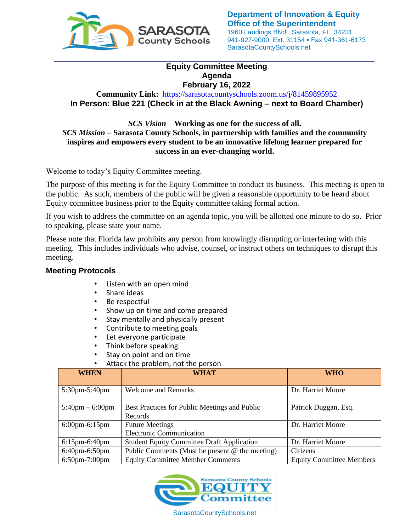

## **Equity Committee Meeting Agenda February 16, 2022**

**Community Link:** <https://sarasotacountyschools.zoom.us/j/81459895952> **In Person: Blue 221 (Check in at the Black Awning – next to Board Chamber)**

*SCS Vision* – **Working as one for the success of all.** *SCS Mission* – **Sarasota County Schools, in partnership with families and the community inspires and empowers every student to be an innovative lifelong learner prepared for success in an ever-changing world.**

Welcome to today's Equity Committee meeting.

The purpose of this meeting is for the Equity Committee to conduct its business. This meeting is open to the public. As such, members of the public will be given a reasonable opportunity to be heard about Equity committee business prior to the Equity committee taking formal action.

If you wish to address the committee on an agenda topic, you will be allotted one minute to do so. Prior to speaking, please state your name.

Please note that Florida law prohibits any person from knowingly disrupting or interfering with this meeting. This includes individuals who advise, counsel, or instruct others on techniques to disrupt this meeting.

## **Meeting Protocols**

- Listen with an open mind
- Share ideas
- 
- Be respectful<br>• Show up on ti Show up on time and come prepared
- Stay mentally and physically present
- Contribute to meeting goals<br>• Let everyone particinate
- Let everyone participate
- Think before speaking
- Stay on point and on time
- Attack the problem, not the person

| <b>WHEN</b>                       | <b>WHAT</b>                                       | <b>WHO</b>                      |
|-----------------------------------|---------------------------------------------------|---------------------------------|
|                                   |                                                   |                                 |
| 5:30pm-5:40pm                     | <b>Welcome and Remarks</b>                        | Dr. Harriet Moore               |
|                                   |                                                   |                                 |
| $5:40 \text{pm} - 6:00 \text{pm}$ | Best Practices for Public Meetings and Public     | Patrick Duggan, Esq.            |
|                                   | Records                                           |                                 |
| $6:00$ pm $-6:15$ pm              | <b>Future Meetings</b>                            | Dr. Harriet Moore               |
|                                   | <b>Electronic Communication</b>                   |                                 |
| $6:15$ pm $-6:40$ pm              | <b>Student Equity Committee Draft Application</b> | Dr. Harriet Moore               |
| $6:40$ pm $-6:50$ pm              | Public Comments (Must be present $@$ the meeting) | Citizens                        |
| $6:50$ pm $-7:00$ pm              | <b>Equity Committee Member Comments</b>           | <b>Equity Committee Members</b> |



SarasotaCountySchools.net